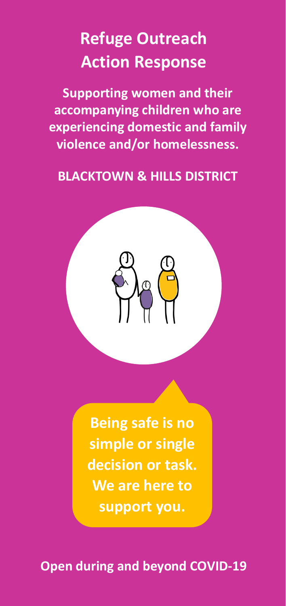# **Refuge Outreach Action Response**

**Supporting women and their accompanying children who are experiencing domestic and family violence and/or homelessness.**

### **BLACKTOWN & HILLS DISTRICT**



**Being safe is no simple or single decision or task. We are here to support you.**

**Open during and beyond COVID-19**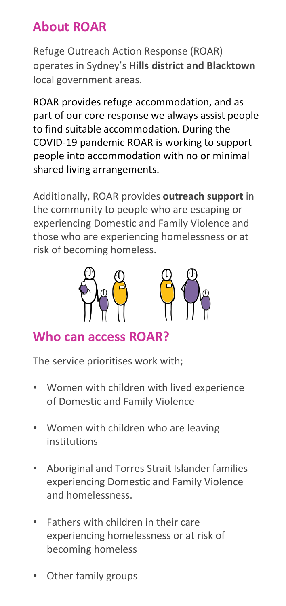## **About ROAR**

Refuge Outreach Action Response (ROAR) operates in Sydney's **Hills district and Blacktown** local government areas.

ROAR provides refuge accommodation, and as part of our core response we always assist people to find suitable accommodation. During the COVID-19 pandemic ROAR is working to support people into accommodation with no or minimal shared living arrangements.

Additionally, ROAR provides **outreach support** in the community to people who are escaping or experiencing Domestic and Family Violence and those who are experiencing homelessness or at risk of becoming homeless.



## **Who can access ROAR?**

The service prioritises work with;

- Women with children with lived experience of Domestic and Family Violence
- Women with children who are leaving institutions
- Aboriginal and Torres Strait Islander families experiencing Domestic and Family Violence and homelessness.
- Fathers with children in their care experiencing homelessness or at risk of becoming homeless
- Other family groups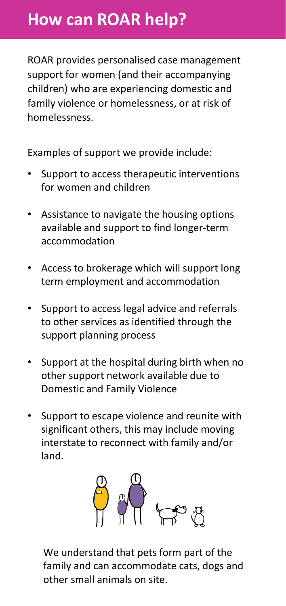## **How can ROAR help?**

ROAR provides personalised case management support for women (and their accompanying children) who are experiencing domestic and family violence or homelessness, or at risk of homelessness.

Examples of support we provide include:

- Support to access therapeutic interventions for women and children
- Assistance to navigate the housing options available and support to find longer-term accommodation
- Access to brokerage which will support long term employment and accommodation
- Support to access legal advice and referrals to other services as identified through the support planning process
- Support at the hospital during birth when no other support network available due to Domestic and Family Violence
- Support to escape violence and reunite with significant others, this may include moving interstate to reconnect with family and/or land.



We understand that pets form part of the family and can accommodate cats, dogs and other small animals on site.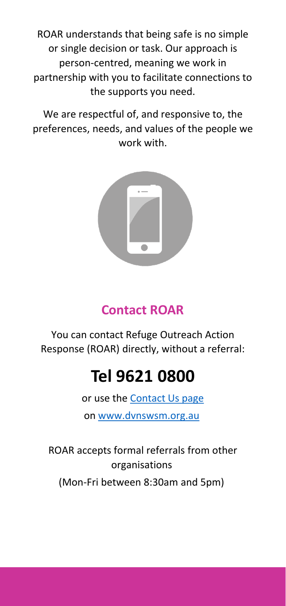ROAR understands that being safe is no simple or single decision or task. Our approach is person-centred, meaning we work in partnership with you to facilitate connections to the supports you need.

We are respectful of, and responsive to, the preferences, needs, and values of the people we work with.



## **Contact ROAR**

You can contact Refuge Outreach Action Response (ROAR) directly, without a referral:

## **Tel 9621 0800**

or use the [Contact Us page](https://dvnswsm.org.au/contact/) on [www.dvnswsm.org.au](http://www.dvnswsm.org.au/)

ROAR accepts formal referrals from other organisations (Mon-Fri between 8:30am and 5pm)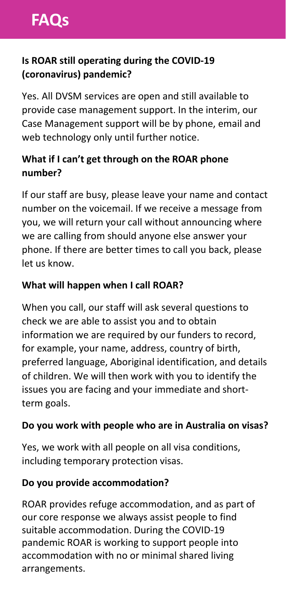#### **Is ROAR still operating during the COVID-19 (coronavirus) pandemic?**

Yes. All DVSM services are open and still available to provide case management support. In the interim, our Case Management support will be by phone, email and web technology only until further notice.

#### **What if I can't get through on the ROAR phone number?**

If our staff are busy, please leave your name and contact number on the voicemail. If we receive a message from you, we will return your call without announcing where we are calling from should anyone else answer your phone. If there are better times to call you back, please let us know.

#### **What will happen when I call ROAR?**

When you call, our staff will ask several questions to check we are able to assist you and to obtain information we are required by our funders to record, for example, your name, address, country of birth, preferred language, Aboriginal identification, and details of children. We will then work with you to identify the issues you are facing and your immediate and shortterm goals.

#### **Do you work with people who are in Australia on visas?**

Yes, we work with all people on all visa conditions, including temporary protection visas.

#### **Do you provide accommodation?**

ROAR provides refuge accommodation, and as part of our core response we always assist people to find suitable accommodation. During the COVID-19 pandemic ROAR is working to support people into accommodation with no or minimal shared living arrangements.